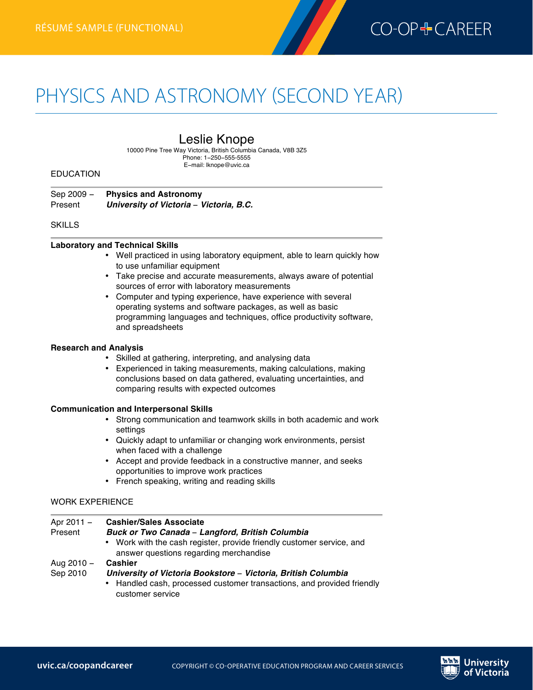

# PHYSICS AND ASTRONOMY (SECOND YEAR)

# Leslie Knope

10000 Pine Tree Way Victoria, British Columbia Canada, V8B 3Z5 Phone: 1−250−555-5555 E−mail: lknope@uvic.ca

#### EDUCATION

**Physics and Astronomyrésumé (second year)—functional**

Sep 2009 − **Physics and Astronomy** Present *University of Victoria* − *Victoria, B.C.*

#### SKILLS

#### **Laboratory and Technical Skills**

- Well practiced in using laboratory equipment, able to learn quickly how to use unfamiliar equipment
- Take precise and accurate measurements, always aware of potential sources of error with laboratory measurements
- Computer and typing experience, have experience with several operating systems and software packages, as well as basic programming languages and techniques, office productivity software, and spreadsheets

#### **Research and Analysis**

- Skilled at gathering, interpreting, and analysing data
- Experienced in taking measurements, making calculations, making conclusions based on data gathered, evaluating uncertainties, and comparing results with expected outcomes

#### **Communication and Interpersonal Skills**

- Strong communication and teamwork skills in both academic and work settings
- Quickly adapt to unfamiliar or changing work environments, persist when faced with a challenge
- Accept and provide feedback in a constructive manner, and seeks opportunities to improve work practices
- French speaking, writing and reading skills

#### WORK EXPERIENCE

| Apr 2011 - | <b>Cashier/Sales Associate</b>                                                                                                                              |
|------------|-------------------------------------------------------------------------------------------------------------------------------------------------------------|
| Present    | Buck or Two Canada - Langford, British Columbia                                                                                                             |
|            | • Work with the cash register, provide friendly customer service, and<br>answer questions regarding merchandise                                             |
| Aug 2010 - | <b>Cashier</b>                                                                                                                                              |
| Sep 2010   | University of Victoria Bookstore - Victoria, British Columbia<br>• Handled cash, processed customer transactions, and provided friendly<br>customer service |

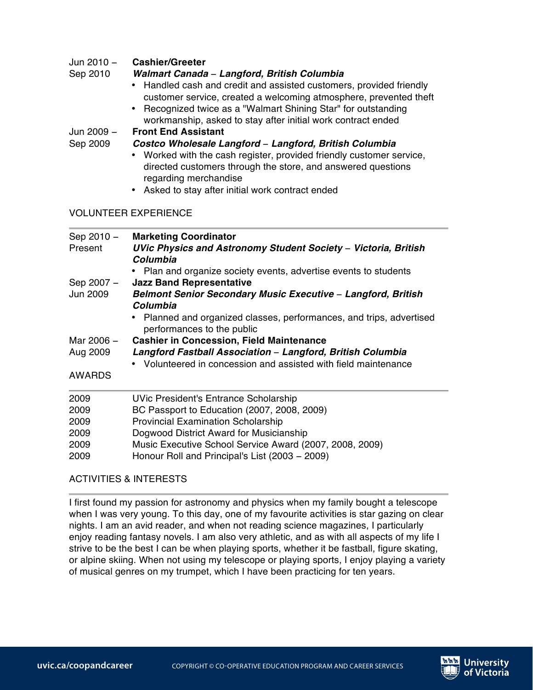# Jun 2010 − **Cashier/Greeter**

### Sep 2010 *Walmart Canada* − *Langford, British Columbia*

- Handled cash and credit and assisted customers, provided friendly customer service, created a welcoming atmosphere, prevented theft
- Recognized twice as a "Walmart Shining Star" for outstanding workmanship, asked to stay after initial work contract ended

# Jun 2009 − **Front End Assistant**

### Sep 2009 *Costco Wholesale Langford* − *Langford, British Columbia*

- Worked with the cash register, provided friendly customer service, directed customers through the store, and answered questions regarding merchandise
- Asked to stay after initial work contract ended

# VOLUNTEER EXPERIENCE

| Sep 2010 -<br>Present | <b>Marketing Coordinator</b><br>UVic Physics and Astronomy Student Society - Victoria, British<br>Columbia<br>Plan and organize society events, advertise events to students |
|-----------------------|------------------------------------------------------------------------------------------------------------------------------------------------------------------------------|
| Sep 2007 -            | <b>Jazz Band Representative</b>                                                                                                                                              |
| Jun 2009              | Belmont Senior Secondary Music Executive - Langford, British<br>Columbia                                                                                                     |
|                       | Planned and organized classes, performances, and trips, advertised<br>performances to the public                                                                             |
| Mar 2006 –            | <b>Cashier in Concession, Field Maintenance</b>                                                                                                                              |
| Aug 2009              | Langford Fastball Association - Langford, British Columbia                                                                                                                   |
|                       | • Volunteered in concession and assisted with field maintenance                                                                                                              |
| <b>AWARDS</b>         |                                                                                                                                                                              |
| 2009                  | <b>UVic President's Entrance Scholarship</b>                                                                                                                                 |
| 2009                  | BC Passport to Education (2007, 2008, 2009)                                                                                                                                  |
| 2009                  | <b>Provincial Examination Scholarship</b>                                                                                                                                    |
| 2009                  | Dogwood District Award for Musicianship                                                                                                                                      |
| 2009                  | Music Executive School Service Award (2007, 2008, 2009)                                                                                                                      |
| 2009                  | Honour Roll and Principal's List (2003 - 2009)                                                                                                                               |

# ACTIVITIES & INTERESTS

I first found my passion for astronomy and physics when my family bought a telescope when I was very young. To this day, one of my favourite activities is star gazing on clear nights. I am an avid reader, and when not reading science magazines, I particularly enjoy reading fantasy novels. I am also very athletic, and as with all aspects of my life I strive to be the best I can be when playing sports, whether it be fastball, figure skating, or alpine skiing. When not using my telescope or playing sports, I enjoy playing a variety of musical genres on my trumpet, which I have been practicing for ten years.